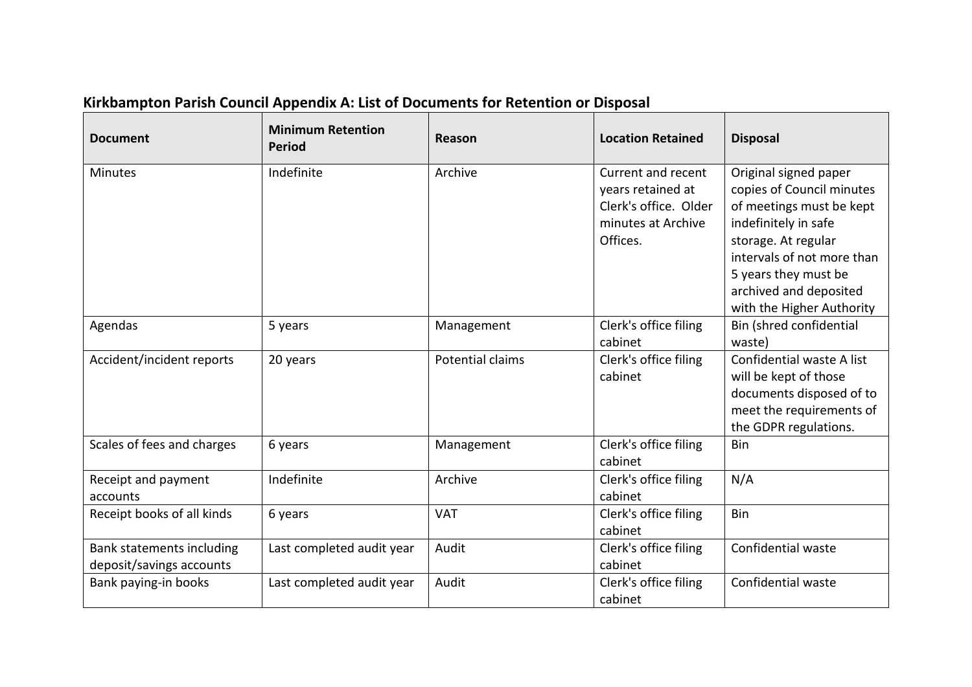| <b>Document</b>                                       | <b>Minimum Retention</b><br><b>Period</b> | Reason           | <b>Location Retained</b>                                                                           | <b>Disposal</b>                                                                                                                                                                                                                            |
|-------------------------------------------------------|-------------------------------------------|------------------|----------------------------------------------------------------------------------------------------|--------------------------------------------------------------------------------------------------------------------------------------------------------------------------------------------------------------------------------------------|
| <b>Minutes</b>                                        | Indefinite                                | Archive          | Current and recent<br>years retained at<br>Clerk's office. Older<br>minutes at Archive<br>Offices. | Original signed paper<br>copies of Council minutes<br>of meetings must be kept<br>indefinitely in safe<br>storage. At regular<br>intervals of not more than<br>5 years they must be<br>archived and deposited<br>with the Higher Authority |
| Agendas                                               | 5 years                                   | Management       | Clerk's office filing<br>cabinet                                                                   | Bin (shred confidential<br>waste)                                                                                                                                                                                                          |
| Accident/incident reports                             | 20 years                                  | Potential claims | Clerk's office filing<br>cabinet                                                                   | Confidential waste A list<br>will be kept of those<br>documents disposed of to<br>meet the requirements of<br>the GDPR regulations.                                                                                                        |
| Scales of fees and charges                            | 6 years                                   | Management       | Clerk's office filing<br>cabinet                                                                   | Bin                                                                                                                                                                                                                                        |
| Receipt and payment<br>accounts                       | Indefinite                                | Archive          | Clerk's office filing<br>cabinet                                                                   | N/A                                                                                                                                                                                                                                        |
| Receipt books of all kinds                            | 6 years                                   | <b>VAT</b>       | Clerk's office filing<br>cabinet                                                                   | Bin                                                                                                                                                                                                                                        |
| Bank statements including<br>deposit/savings accounts | Last completed audit year                 | Audit            | Clerk's office filing<br>cabinet                                                                   | Confidential waste                                                                                                                                                                                                                         |
| Bank paying-in books                                  | Last completed audit year                 | Audit            | Clerk's office filing<br>cabinet                                                                   | Confidential waste                                                                                                                                                                                                                         |

## **Kirkbampton Parish Council Appendix A: List of Documents for Retention or Disposal**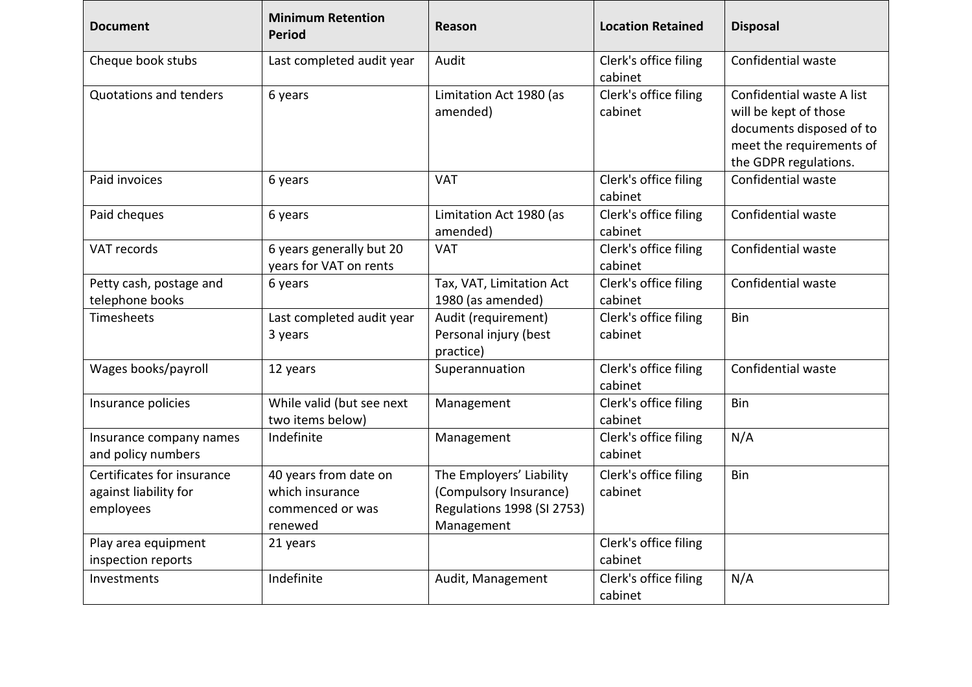| <b>Document</b>                                                  | <b>Minimum Retention</b><br><b>Period</b>                               | <b>Reason</b>                                                                                  | <b>Location Retained</b>         | <b>Disposal</b>                                                                                                                     |
|------------------------------------------------------------------|-------------------------------------------------------------------------|------------------------------------------------------------------------------------------------|----------------------------------|-------------------------------------------------------------------------------------------------------------------------------------|
| Cheque book stubs                                                | Last completed audit year                                               | Audit                                                                                          | Clerk's office filing<br>cabinet | Confidential waste                                                                                                                  |
| <b>Quotations and tenders</b>                                    | 6 years                                                                 | Limitation Act 1980 (as<br>amended)                                                            | Clerk's office filing<br>cabinet | Confidential waste A list<br>will be kept of those<br>documents disposed of to<br>meet the requirements of<br>the GDPR regulations. |
| Paid invoices                                                    | 6 years                                                                 | <b>VAT</b>                                                                                     | Clerk's office filing<br>cabinet | Confidential waste                                                                                                                  |
| Paid cheques                                                     | 6 years                                                                 | Limitation Act 1980 (as<br>amended)                                                            | Clerk's office filing<br>cabinet | Confidential waste                                                                                                                  |
| VAT records                                                      | 6 years generally but 20<br>years for VAT on rents                      | <b>VAT</b>                                                                                     | Clerk's office filing<br>cabinet | Confidential waste                                                                                                                  |
| Petty cash, postage and<br>telephone books                       | 6 years                                                                 | Tax, VAT, Limitation Act<br>1980 (as amended)                                                  | Clerk's office filing<br>cabinet | Confidential waste                                                                                                                  |
| Timesheets                                                       | Last completed audit year<br>3 years                                    | Audit (requirement)<br>Personal injury (best<br>practice)                                      | Clerk's office filing<br>cabinet | Bin                                                                                                                                 |
| Wages books/payroll                                              | 12 years                                                                | Superannuation                                                                                 | Clerk's office filing<br>cabinet | Confidential waste                                                                                                                  |
| Insurance policies                                               | While valid (but see next<br>two items below)                           | Management                                                                                     | Clerk's office filing<br>cabinet | Bin                                                                                                                                 |
| Insurance company names<br>and policy numbers                    | Indefinite                                                              | Management                                                                                     | Clerk's office filing<br>cabinet | N/A                                                                                                                                 |
| Certificates for insurance<br>against liability for<br>employees | 40 years from date on<br>which insurance<br>commenced or was<br>renewed | The Employers' Liability<br>(Compulsory Insurance)<br>Regulations 1998 (SI 2753)<br>Management | Clerk's office filing<br>cabinet | <b>Bin</b>                                                                                                                          |
| Play area equipment<br>inspection reports                        | 21 years                                                                |                                                                                                | Clerk's office filing<br>cabinet |                                                                                                                                     |
| Investments                                                      | Indefinite                                                              | Audit, Management                                                                              | Clerk's office filing<br>cabinet | N/A                                                                                                                                 |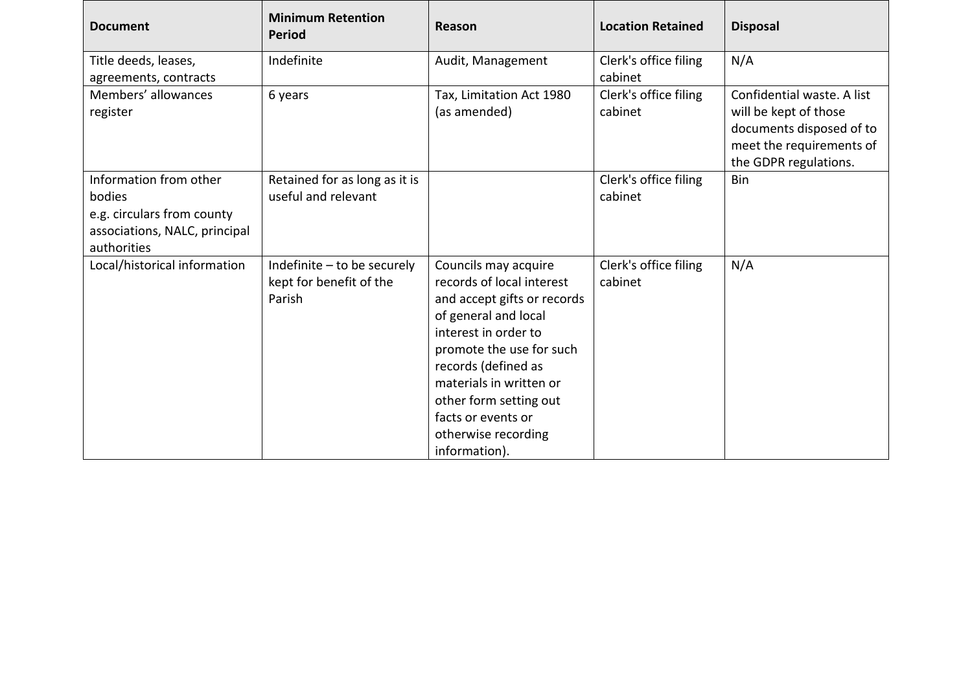| <b>Document</b>                                                                                                | <b>Minimum Retention</b><br><b>Period</b>                        | Reason                                                                                                                                                                                                                                                                                                 | <b>Location Retained</b>         | <b>Disposal</b>                                                                                                                      |
|----------------------------------------------------------------------------------------------------------------|------------------------------------------------------------------|--------------------------------------------------------------------------------------------------------------------------------------------------------------------------------------------------------------------------------------------------------------------------------------------------------|----------------------------------|--------------------------------------------------------------------------------------------------------------------------------------|
| Title deeds, leases,<br>agreements, contracts                                                                  | Indefinite                                                       | Audit, Management                                                                                                                                                                                                                                                                                      | Clerk's office filing<br>cabinet | N/A                                                                                                                                  |
| Members' allowances<br>register                                                                                | 6 years                                                          | Tax, Limitation Act 1980<br>(as amended)                                                                                                                                                                                                                                                               | Clerk's office filing<br>cabinet | Confidential waste. A list<br>will be kept of those<br>documents disposed of to<br>meet the requirements of<br>the GDPR regulations. |
| Information from other<br>bodies<br>e.g. circulars from county<br>associations, NALC, principal<br>authorities | Retained for as long as it is<br>useful and relevant             |                                                                                                                                                                                                                                                                                                        | Clerk's office filing<br>cabinet | <b>Bin</b>                                                                                                                           |
| Local/historical information                                                                                   | Indefinite - to be securely<br>kept for benefit of the<br>Parish | Councils may acquire<br>records of local interest<br>and accept gifts or records<br>of general and local<br>interest in order to<br>promote the use for such<br>records (defined as<br>materials in written or<br>other form setting out<br>facts or events or<br>otherwise recording<br>information). | Clerk's office filing<br>cabinet | N/A                                                                                                                                  |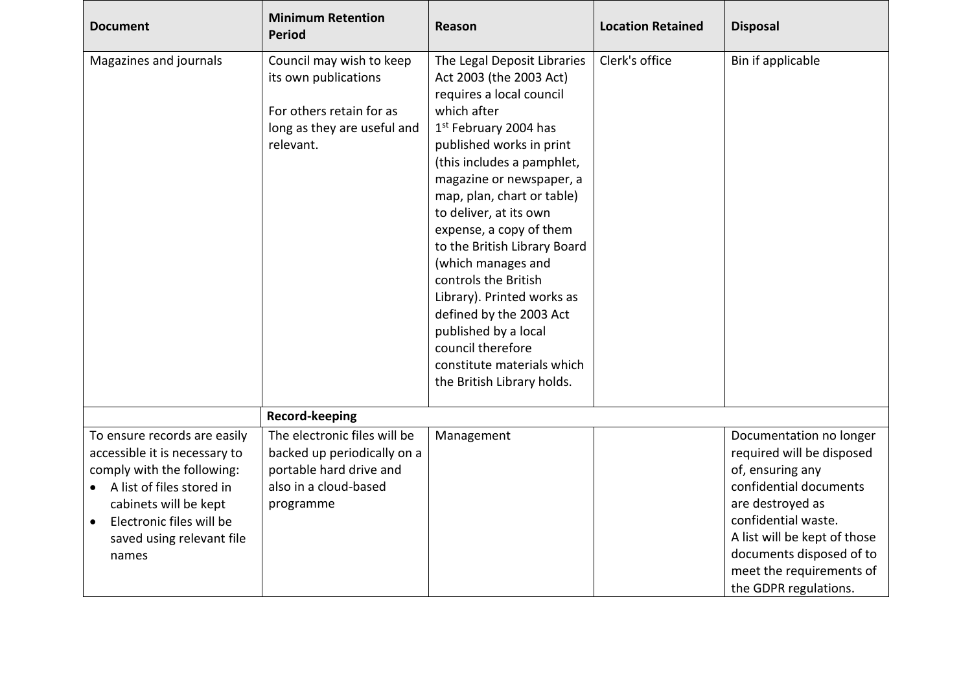| <b>Document</b>                                                                                                                                                                                                                    | <b>Minimum Retention</b><br><b>Period</b>                                                                                    | <b>Reason</b>                                                                                                                                                                                                                                                                                                                                                                                                                                                                                                                                                   | <b>Location Retained</b> | <b>Disposal</b>                                                                                                                                                                                                                                                |
|------------------------------------------------------------------------------------------------------------------------------------------------------------------------------------------------------------------------------------|------------------------------------------------------------------------------------------------------------------------------|-----------------------------------------------------------------------------------------------------------------------------------------------------------------------------------------------------------------------------------------------------------------------------------------------------------------------------------------------------------------------------------------------------------------------------------------------------------------------------------------------------------------------------------------------------------------|--------------------------|----------------------------------------------------------------------------------------------------------------------------------------------------------------------------------------------------------------------------------------------------------------|
| Magazines and journals                                                                                                                                                                                                             | Council may wish to keep<br>its own publications<br>For others retain for as<br>long as they are useful and<br>relevant.     | The Legal Deposit Libraries<br>Act 2003 (the 2003 Act)<br>requires a local council<br>which after<br>1 <sup>st</sup> February 2004 has<br>published works in print<br>(this includes a pamphlet,<br>magazine or newspaper, a<br>map, plan, chart or table)<br>to deliver, at its own<br>expense, a copy of them<br>to the British Library Board<br>(which manages and<br>controls the British<br>Library). Printed works as<br>defined by the 2003 Act<br>published by a local<br>council therefore<br>constitute materials which<br>the British Library holds. | Clerk's office           | Bin if applicable                                                                                                                                                                                                                                              |
|                                                                                                                                                                                                                                    | Record-keeping                                                                                                               |                                                                                                                                                                                                                                                                                                                                                                                                                                                                                                                                                                 |                          |                                                                                                                                                                                                                                                                |
| To ensure records are easily<br>accessible it is necessary to<br>comply with the following:<br>• A list of files stored in<br>cabinets will be kept<br>Electronic files will be<br>$\bullet$<br>saved using relevant file<br>names | The electronic files will be<br>backed up periodically on a<br>portable hard drive and<br>also in a cloud-based<br>programme | Management                                                                                                                                                                                                                                                                                                                                                                                                                                                                                                                                                      |                          | Documentation no longer<br>required will be disposed<br>of, ensuring any<br>confidential documents<br>are destroyed as<br>confidential waste.<br>A list will be kept of those<br>documents disposed of to<br>meet the requirements of<br>the GDPR regulations. |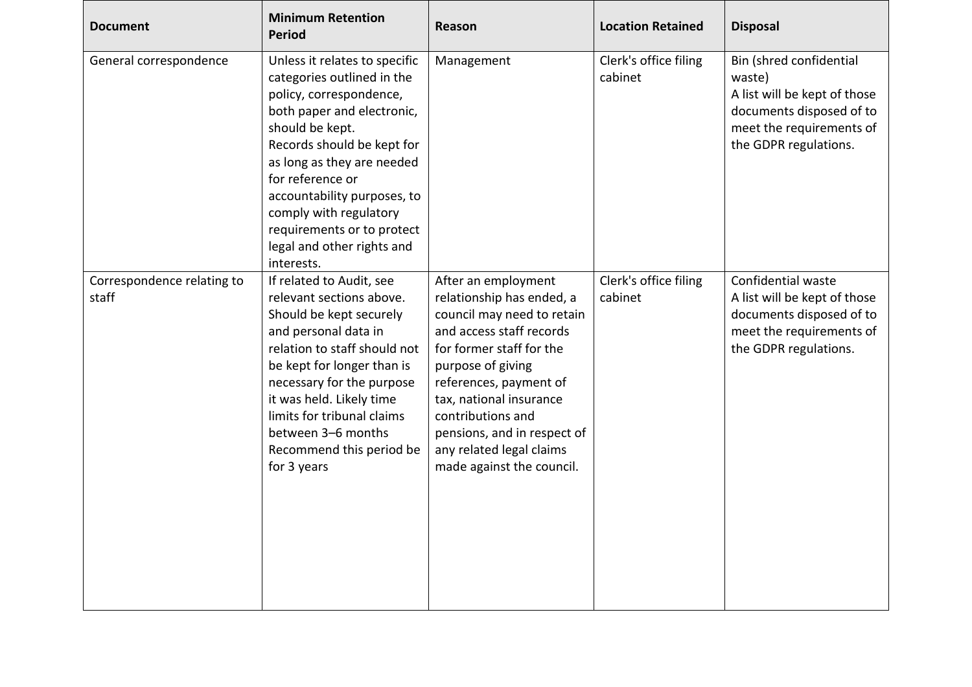| <b>Document</b>                     | <b>Minimum Retention</b><br><b>Period</b>                                                                                                                                                                                                                                                                                                                  | <b>Reason</b>                                                                                                                                                                                                                                                                                                                 | <b>Location Retained</b>         | <b>Disposal</b>                                                                                                                                    |
|-------------------------------------|------------------------------------------------------------------------------------------------------------------------------------------------------------------------------------------------------------------------------------------------------------------------------------------------------------------------------------------------------------|-------------------------------------------------------------------------------------------------------------------------------------------------------------------------------------------------------------------------------------------------------------------------------------------------------------------------------|----------------------------------|----------------------------------------------------------------------------------------------------------------------------------------------------|
| General correspondence              | Unless it relates to specific<br>categories outlined in the<br>policy, correspondence,<br>both paper and electronic,<br>should be kept.<br>Records should be kept for<br>as long as they are needed<br>for reference or<br>accountability purposes, to<br>comply with regulatory<br>requirements or to protect<br>legal and other rights and<br>interests. | Management                                                                                                                                                                                                                                                                                                                    | Clerk's office filing<br>cabinet | Bin (shred confidential<br>waste)<br>A list will be kept of those<br>documents disposed of to<br>meet the requirements of<br>the GDPR regulations. |
| Correspondence relating to<br>staff | If related to Audit, see<br>relevant sections above.<br>Should be kept securely<br>and personal data in<br>relation to staff should not<br>be kept for longer than is<br>necessary for the purpose<br>it was held. Likely time<br>limits for tribunal claims<br>between 3-6 months<br>Recommend this period be<br>for 3 years                              | After an employment<br>relationship has ended, a<br>council may need to retain<br>and access staff records<br>for former staff for the<br>purpose of giving<br>references, payment of<br>tax, national insurance<br>contributions and<br>pensions, and in respect of<br>any related legal claims<br>made against the council. | Clerk's office filing<br>cabinet | Confidential waste<br>A list will be kept of those<br>documents disposed of to<br>meet the requirements of<br>the GDPR regulations.                |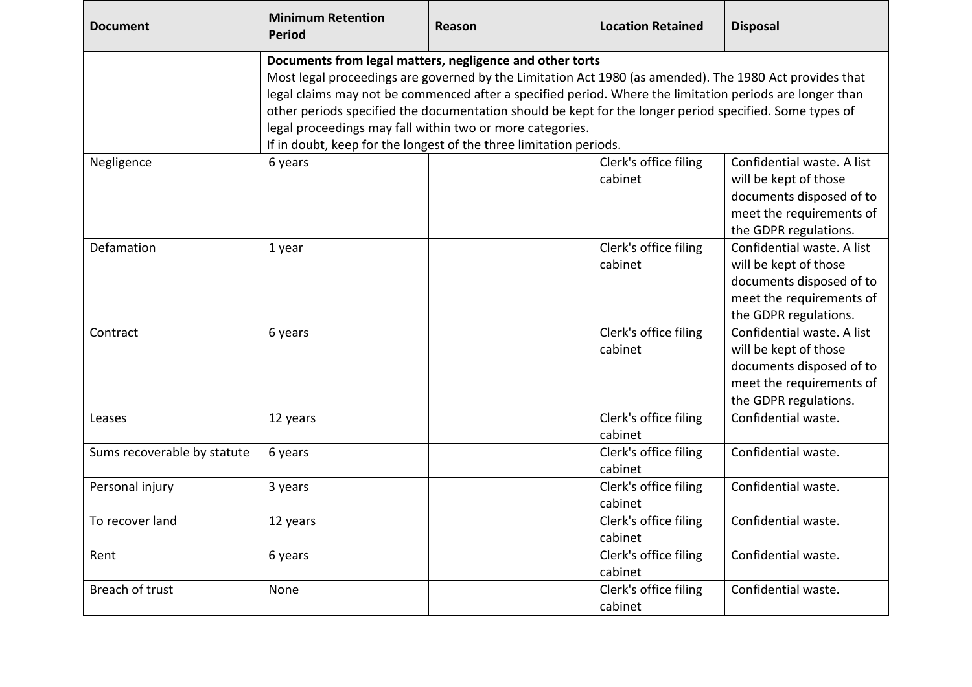| <b>Document</b>             | <b>Minimum Retention</b><br><b>Period</b>                                                                                                                                                                                                                                                                                                                                                                                                                                                                                     | <b>Reason</b> | <b>Location Retained</b>         | <b>Disposal</b>                                                                                                                      |  |
|-----------------------------|-------------------------------------------------------------------------------------------------------------------------------------------------------------------------------------------------------------------------------------------------------------------------------------------------------------------------------------------------------------------------------------------------------------------------------------------------------------------------------------------------------------------------------|---------------|----------------------------------|--------------------------------------------------------------------------------------------------------------------------------------|--|
|                             | Documents from legal matters, negligence and other torts<br>Most legal proceedings are governed by the Limitation Act 1980 (as amended). The 1980 Act provides that<br>legal claims may not be commenced after a specified period. Where the limitation periods are longer than<br>other periods specified the documentation should be kept for the longer period specified. Some types of<br>legal proceedings may fall within two or more categories.<br>If in doubt, keep for the longest of the three limitation periods. |               |                                  |                                                                                                                                      |  |
| Negligence                  | 6 years                                                                                                                                                                                                                                                                                                                                                                                                                                                                                                                       |               | Clerk's office filing<br>cabinet | Confidential waste. A list<br>will be kept of those<br>documents disposed of to<br>meet the requirements of<br>the GDPR regulations. |  |
| Defamation                  | 1 year                                                                                                                                                                                                                                                                                                                                                                                                                                                                                                                        |               | Clerk's office filing<br>cabinet | Confidential waste. A list<br>will be kept of those<br>documents disposed of to<br>meet the requirements of<br>the GDPR regulations. |  |
| Contract                    | 6 years                                                                                                                                                                                                                                                                                                                                                                                                                                                                                                                       |               | Clerk's office filing<br>cabinet | Confidential waste. A list<br>will be kept of those<br>documents disposed of to<br>meet the requirements of<br>the GDPR regulations. |  |
| Leases                      | 12 years                                                                                                                                                                                                                                                                                                                                                                                                                                                                                                                      |               | Clerk's office filing<br>cabinet | Confidential waste.                                                                                                                  |  |
| Sums recoverable by statute | 6 years                                                                                                                                                                                                                                                                                                                                                                                                                                                                                                                       |               | Clerk's office filing<br>cabinet | Confidential waste.                                                                                                                  |  |
| Personal injury             | 3 years                                                                                                                                                                                                                                                                                                                                                                                                                                                                                                                       |               | Clerk's office filing<br>cabinet | Confidential waste.                                                                                                                  |  |
| To recover land             | 12 years                                                                                                                                                                                                                                                                                                                                                                                                                                                                                                                      |               | Clerk's office filing<br>cabinet | Confidential waste.                                                                                                                  |  |
| Rent                        | 6 years                                                                                                                                                                                                                                                                                                                                                                                                                                                                                                                       |               | Clerk's office filing<br>cabinet | Confidential waste.                                                                                                                  |  |
| Breach of trust             | None                                                                                                                                                                                                                                                                                                                                                                                                                                                                                                                          |               | Clerk's office filing<br>cabinet | Confidential waste.                                                                                                                  |  |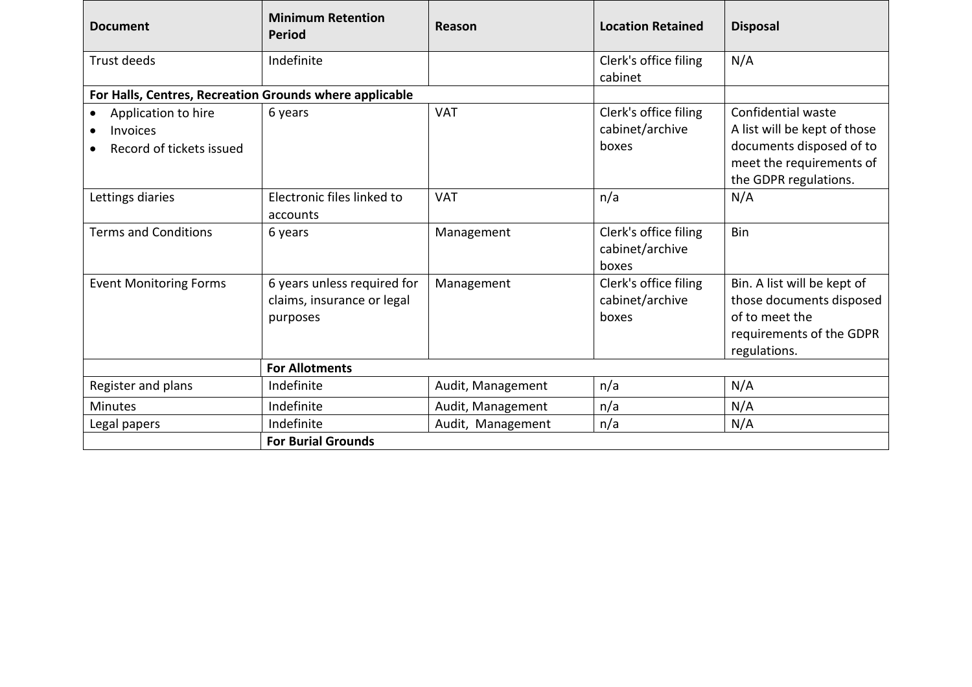| <b>Document</b>                                                                              | <b>Minimum Retention</b><br><b>Period</b>                             | Reason            | <b>Location Retained</b>                          | <b>Disposal</b>                                                                                                                     |
|----------------------------------------------------------------------------------------------|-----------------------------------------------------------------------|-------------------|---------------------------------------------------|-------------------------------------------------------------------------------------------------------------------------------------|
| Trust deeds                                                                                  | Indefinite                                                            |                   | Clerk's office filing<br>cabinet                  | N/A                                                                                                                                 |
| For Halls, Centres, Recreation Grounds where applicable                                      |                                                                       |                   |                                                   |                                                                                                                                     |
| Application to hire<br>$\bullet$<br><b>Invoices</b><br>$\bullet$<br>Record of tickets issued | 6 years                                                               | <b>VAT</b>        | Clerk's office filing<br>cabinet/archive<br>boxes | Confidential waste<br>A list will be kept of those<br>documents disposed of to<br>meet the requirements of<br>the GDPR regulations. |
| Lettings diaries                                                                             | Electronic files linked to<br>accounts                                | <b>VAT</b>        | n/a                                               | N/A                                                                                                                                 |
| <b>Terms and Conditions</b>                                                                  | 6 years                                                               | Management        | Clerk's office filing<br>cabinet/archive<br>boxes | Bin                                                                                                                                 |
| <b>Event Monitoring Forms</b>                                                                | 6 years unless required for<br>claims, insurance or legal<br>purposes | Management        | Clerk's office filing<br>cabinet/archive<br>boxes | Bin. A list will be kept of<br>those documents disposed<br>of to meet the<br>requirements of the GDPR<br>regulations.               |
|                                                                                              | <b>For Allotments</b>                                                 |                   |                                                   |                                                                                                                                     |
| Register and plans                                                                           | Indefinite                                                            | Audit, Management | n/a                                               | N/A                                                                                                                                 |
| <b>Minutes</b>                                                                               | Indefinite                                                            | Audit, Management | n/a                                               | N/A                                                                                                                                 |
| Legal papers                                                                                 | Indefinite                                                            | Audit, Management | n/a                                               | N/A                                                                                                                                 |
|                                                                                              | <b>For Burial Grounds</b>                                             |                   |                                                   |                                                                                                                                     |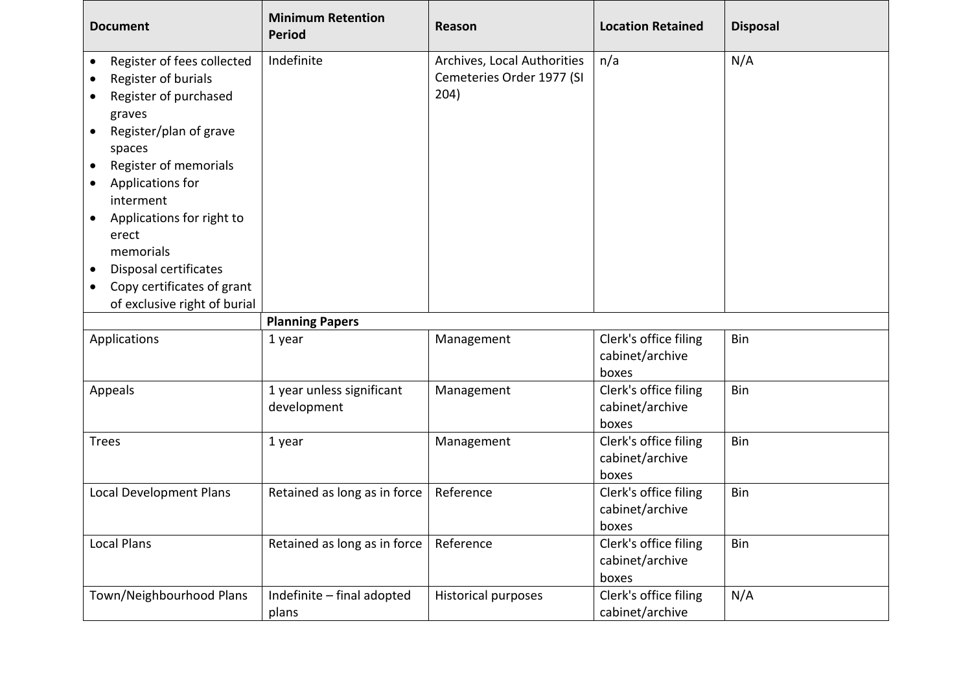| <b>Document</b>                                                                                                                                                                                                                                                                                                                                                                                                                      | <b>Minimum Retention</b><br><b>Period</b> | Reason                                                           | <b>Location Retained</b>                          | <b>Disposal</b> |
|--------------------------------------------------------------------------------------------------------------------------------------------------------------------------------------------------------------------------------------------------------------------------------------------------------------------------------------------------------------------------------------------------------------------------------------|-------------------------------------------|------------------------------------------------------------------|---------------------------------------------------|-----------------|
| Register of fees collected<br>$\bullet$<br>Register of burials<br>$\bullet$<br>Register of purchased<br>graves<br>Register/plan of grave<br>$\bullet$<br>spaces<br>Register of memorials<br>$\bullet$<br>Applications for<br>$\bullet$<br>interment<br>Applications for right to<br>$\bullet$<br>erect<br>memorials<br>Disposal certificates<br>$\bullet$<br>Copy certificates of grant<br>$\bullet$<br>of exclusive right of burial | Indefinite                                | Archives, Local Authorities<br>Cemeteries Order 1977 (SI<br>204) | n/a                                               | N/A             |
|                                                                                                                                                                                                                                                                                                                                                                                                                                      | <b>Planning Papers</b>                    |                                                                  |                                                   |                 |
| Applications                                                                                                                                                                                                                                                                                                                                                                                                                         | 1 year                                    | Management                                                       | Clerk's office filing<br>cabinet/archive          | Bin             |
|                                                                                                                                                                                                                                                                                                                                                                                                                                      |                                           |                                                                  | boxes                                             |                 |
| Appeals                                                                                                                                                                                                                                                                                                                                                                                                                              | 1 year unless significant<br>development  | Management                                                       | Clerk's office filing<br>cabinet/archive<br>boxes | Bin             |
| <b>Trees</b>                                                                                                                                                                                                                                                                                                                                                                                                                         | 1 year                                    | Management                                                       | Clerk's office filing<br>cabinet/archive<br>boxes | Bin             |
| Local Development Plans                                                                                                                                                                                                                                                                                                                                                                                                              | Retained as long as in force              | Reference                                                        | Clerk's office filing<br>cabinet/archive<br>boxes | Bin             |
| <b>Local Plans</b>                                                                                                                                                                                                                                                                                                                                                                                                                   | Retained as long as in force              | Reference                                                        | Clerk's office filing<br>cabinet/archive<br>boxes | Bin             |

IГ